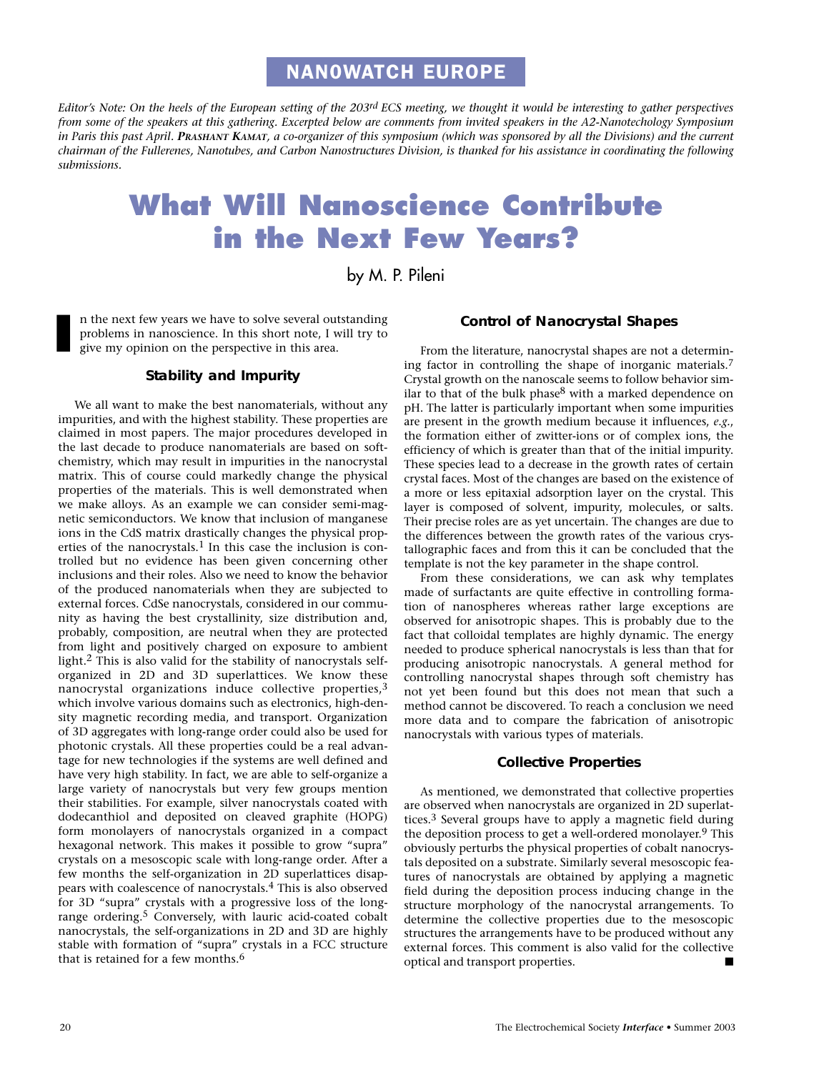## NAN0WATCH EUROPE

*Editor's Note: On the heels of the European setting of the 203rd ECS meeting, we thought it would be interesting to gather perspectives from some of the speakers at this gathering. Excerpted below are comments from invited speakers in the A2-Nanotechology Symposium in Paris this past April. PRASHANT KAMAT, a co-organizer of this symposium (which was sponsored by all the Divisions) and the current chairman of the Fullerenes, Nanotubes, and Carbon Nanostructures Division, is thanked for his assistance in coordinating the following submissions.*

# **What Will Nanoscience Contribute in the Next Few Years?**

by M. P. Pileni

n the next few years we have to solve several outstanding problems in nanoscience. In this short note, I will try to give my opinion on the perspective in this area. **I**

### **Stability and Impurity**

We all want to make the best nanomaterials, without any impurities, and with the highest stability. These properties are claimed in most papers. The major procedures developed in the last decade to produce nanomaterials are based on softchemistry, which may result in impurities in the nanocrystal matrix. This of course could markedly change the physical properties of the materials. This is well demonstrated when we make alloys. As an example we can consider semi-magnetic semiconductors. We know that inclusion of manganese ions in the CdS matrix drastically changes the physical properties of the nanocrystals.<sup>1</sup> In this case the inclusion is controlled but no evidence has been given concerning other inclusions and their roles. Also we need to know the behavior of the produced nanomaterials when they are subjected to external forces. CdSe nanocrystals, considered in our community as having the best crystallinity, size distribution and, probably, composition, are neutral when they are protected from light and positively charged on exposure to ambient light.2 This is also valid for the stability of nanocrystals selforganized in 2D and 3D superlattices. We know these nanocrystal organizations induce collective properties,3 which involve various domains such as electronics, high-density magnetic recording media, and transport. Organization of 3D aggregates with long-range order could also be used for photonic crystals. All these properties could be a real advantage for new technologies if the systems are well defined and have very high stability. In fact, we are able to self-organize a large variety of nanocrystals but very few groups mention their stabilities. For example, silver nanocrystals coated with dodecanthiol and deposited on cleaved graphite (HOPG) form monolayers of nanocrystals organized in a compact hexagonal network. This makes it possible to grow "supra" crystals on a mesoscopic scale with long-range order. After a few months the self-organization in 2D superlattices disappears with coalescence of nanocrystals.4 This is also observed for 3D "supra" crystals with a progressive loss of the longrange ordering.<sup>5</sup> Conversely, with lauric acid-coated cobalt nanocrystals, the self-organizations in 2D and 3D are highly stable with formation of "supra" crystals in a FCC structure that is retained for a few months.6

#### **Control of Nanocrystal Shapes**

From the literature, nanocrystal shapes are not a determining factor in controlling the shape of inorganic materials.7 Crystal growth on the nanoscale seems to follow behavior similar to that of the bulk phase<sup>8</sup> with a marked dependence on pH. The latter is particularly important when some impurities are present in the growth medium because it influences, *e.g.*, the formation either of zwitter-ions or of complex ions, the efficiency of which is greater than that of the initial impurity. These species lead to a decrease in the growth rates of certain crystal faces. Most of the changes are based on the existence of a more or less epitaxial adsorption layer on the crystal. This layer is composed of solvent, impurity, molecules, or salts. Their precise roles are as yet uncertain. The changes are due to the differences between the growth rates of the various crystallographic faces and from this it can be concluded that the template is not the key parameter in the shape control.

From these considerations, we can ask why templates made of surfactants are quite effective in controlling formation of nanospheres whereas rather large exceptions are observed for anisotropic shapes. This is probably due to the fact that colloidal templates are highly dynamic. The energy needed to produce spherical nanocrystals is less than that for producing anisotropic nanocrystals. A general method for controlling nanocrystal shapes through soft chemistry has not yet been found but this does not mean that such a method cannot be discovered. To reach a conclusion we need more data and to compare the fabrication of anisotropic nanocrystals with various types of materials.

#### **Collective Properties**

As mentioned, we demonstrated that collective properties are observed when nanocrystals are organized in 2D superlattices.3 Several groups have to apply a magnetic field during the deposition process to get a well-ordered monolayer.<sup>9</sup> This obviously perturbs the physical properties of cobalt nanocrystals deposited on a substrate. Similarly several mesoscopic features of nanocrystals are obtained by applying a magnetic field during the deposition process inducing change in the structure morphology of the nanocrystal arrangements. To determine the collective properties due to the mesoscopic structures the arrangements have to be produced without any external forces. This comment is also valid for the collective optical and transport properties.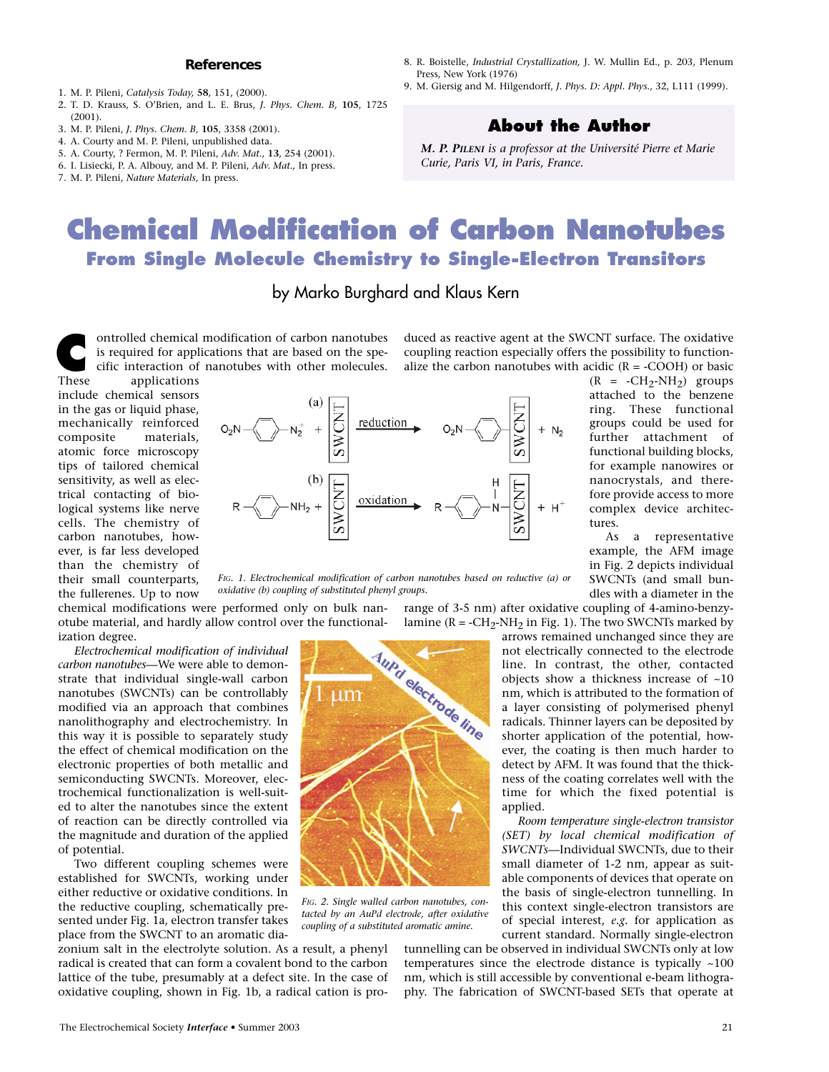#### **References**

- 1. M. P. Pileni, *Catalysis Today,* **58**, 151, (2000).
- 2. T. D. Krauss, S. O'Brien, and L. E. Brus, *J. Phys. Chem. B,* **105**, 1725 (2001).
- 3. M. P. Pileni, *J. Phys. Chem. B,* **105**, 3358 (2001).
- 4. A. Courty and M. P. Pileni, unpublished data.
- 5. A. Courty, ? Fermon, M. P. Pileni, *Adv. Mat.*, **13**, 254 (2001).
- 6. I. Lisiecki, P. A. Albouy, and M. P. Pileni, *Adv. Mat.,* In press.
- 7. M. P. Pileni, *Nature Materials,* In press.
- 8. R. Boistelle, *Industrial Crystallization,* J. W. Mullin Ed., p. 203, Plenum Press, New York (1976)
- 9. M. Giersig and M. Hilgendorff, *J. Phys. D: Appl. Phys.*, 32, L111 (1999).

### **About the Author**

*M. P. PILENI is a professor at the Université Pierre et Marie Curie, Paris VI, in Paris, France.*

## **Chemical Modification of Carbon Nanotubes From Single Molecule Chemistry to Single-Electron Transitors**

by Marko Burghard and Klaus Kern

ontrolled chemical modification of carbon nanotubes is required for applications that are based on the specific interaction of nanotubes with other molecules.

duced as reactive agent at the SWCNT surface. The oxidative coupling reaction especially offers the possibility to functionalize the carbon nanotubes with acidic  $(R = -COOH)$  or basic

> $(R = -CH_2-NH_2)$  groups attached to the benzene ring. These functional groups could be used for further attachment of functional building blocks, for example nanowires or nanocrystals, and therefore provide access to more complex device architec-

> As a representative example, the AFM image in Fig. 2 depicts individual SWCNTs (and small bundles with a diameter in the

applications include chemical sensors in the gas or liquid phase, mechanically reinforced composite materials, atomic force microscopy tips of tailored chemical sensitivity, as well as electrical contacting of biological systems like nerve cells. The chemistry of carbon nanotubes, however, is far less developed than the chemistry of their small counterparts, the fullerenes. Up to now **These** 



*FIG. 1. Electrochemical modification of carbon nanotubes based on reductive (a) or oxidative (b) coupling of substituted phenyl groups.*

range of 3-5 nm) after oxidative coupling of 4-amino-benzychemical modifications were performed only on bulk nanotube material, and hardly allow control over the functionallamine ( $R = -CH_2-NH_2$  in Fig. 1). The two SWCNTs marked by ization degree. Aund electrode line

 $\mathop{\rm \,nm}\nolimits$ 

*FIG. 2. Single walled carbon nanotubes, contacted by an AuPd electrode, after oxidative coupling of a substituted aromatic amine.*

*Electrochemical modification of individual carbon nanotubes—*We were able to demonstrate that individual single-wall carbon nanotubes (SWCNTs) can be controllably modified via an approach that combines nanolithography and electrochemistry. In this way it is possible to separately study the effect of chemical modification on the electronic properties of both metallic and semiconducting SWCNTs. Moreover, electrochemical functionalization is well-suited to alter the nanotubes since the extent of reaction can be directly controlled via the magnitude and duration of the applied of potential.

Two different coupling schemes were established for SWCNTs, working under either reductive or oxidative conditions. In the reductive coupling, schematically presented under Fig. 1a, electron transfer takes place from the SWCNT to an aromatic dia-

zonium salt in the electrolyte solution. As a result, a phenyl radical is created that can form a covalent bond to the carbon lattice of the tube, presumably at a defect site. In the case of oxidative coupling, shown in Fig. 1b, a radical cation is proarrows remained unchanged since they are not electrically connected to the electrode line. In contrast, the other, contacted objects show a thickness increase of ~10 nm, which is attributed to the formation of a layer consisting of polymerised phenyl radicals. Thinner layers can be deposited by shorter application of the potential, however, the coating is then much harder to detect by AFM. It was found that the thickness of the coating correlates well with the time for which the fixed potential is applied.

tures.

*Room temperature single-electron transistor (SET) by local chemical modification of SWCNTs—*Individual SWCNTs, due to their small diameter of 1-2 nm, appear as suitable components of devices that operate on the basis of single-electron tunnelling. In this context single-electron transistors are of special interest, *e.g.* for application as current standard. Normally single-electron

tunnelling can be observed in individual SWCNTs only at low temperatures since the electrode distance is typically ~100 nm, which is still accessible by conventional e-beam lithography. The fabrication of SWCNT-based SETs that operate at